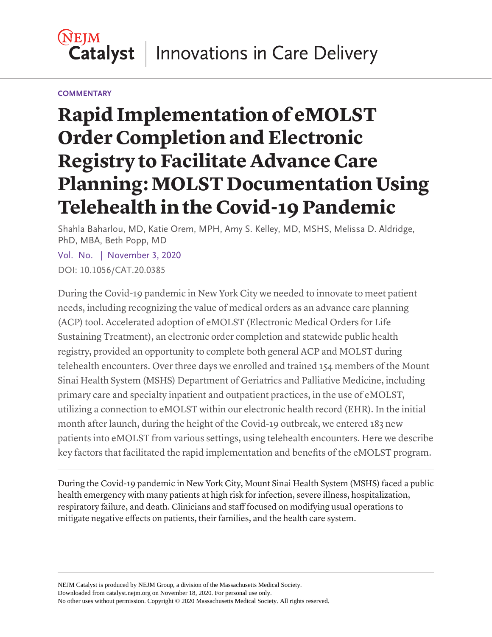#### **NEIM Catalyst** Innovations in Care Delivery

#### **COMMENTARY**

# **Rapid Implementation of eMOLST Order Completion and Electronic Registry to Facilitate Advance Care Planning: MOLST Documentation Using Telehealth in the Covid-19 Pandemic**

Shahla Baharlou, MD, Katie Orem, MPH, Amy S. Kelley, MD, MSHS, Melissa D. Aldridge, PhD, MBA, Beth Popp, MD

Vol. No. | November 3, 2020 DOI: 10.1056/CAT.20.0385

During the Covid-19 pandemic in New York City we needed to innovate to meet patient needs, including recognizing the value of medical orders as an advance care planning (ACP) tool. Accelerated adoption of eMOLST (Electronic Medical Orders for Life Sustaining Treatment), an electronic order completion and statewide public health registry, provided an opportunity to complete both general ACP and MOLST during telehealth encounters. Over three days we enrolled and trained 154 members of the Mount Sinai Health System (MSHS) Department of Geriatrics and Palliative Medicine, including primary care and specialty inpatient and outpatient practices, in the use of eMOLST, utilizing a connection to eMOLST within our electronic health record (EHR). In the initial month after launch, during the height of the Covid-19 outbreak, we entered 183 new patients into eMOLST from various settings, using telehealth encounters. Here we describe key factors that facilitated the rapid implementation and benefits of the eMOLST program.

During the Covid-19 pandemic in New York City, Mount Sinai Health System (MSHS) faced a public health emergency with many patients at high risk for infection, severe illness, hospitalization, respiratory failure, and death. Clinicians and staff focused on modifying usual operations to mitigate negative effects on patients, their families, and the health care system.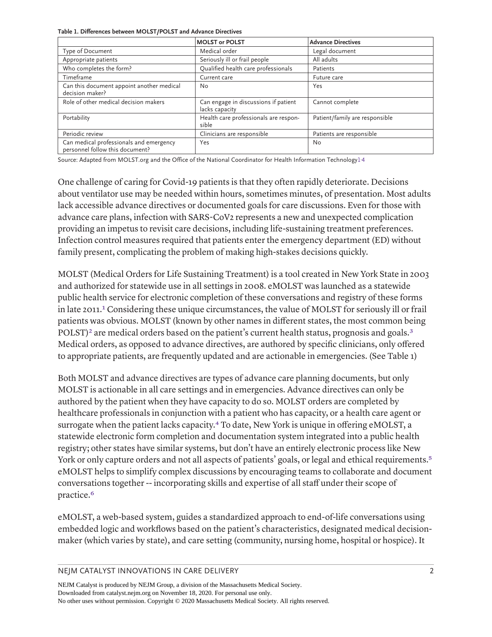**Table 1. Differences between MOLST/POLST and Advance Directives**

|                                                                            | <b>MOLST or POLST</b>                                  | <b>Advance Directives</b>      |  |
|----------------------------------------------------------------------------|--------------------------------------------------------|--------------------------------|--|
| Type of Document                                                           | Medical order                                          | Legal document                 |  |
| Appropriate patients                                                       | Seriously ill or frail people                          | All adults                     |  |
| Who completes the form?                                                    | Qualified health care professionals                    | Patients                       |  |
| Timeframe                                                                  | Current care                                           | Future care                    |  |
| Can this document appoint another medical<br>decision maker?               | No                                                     | Yes                            |  |
| Role of other medical decision makers                                      | Can engage in discussions if patient<br>lacks capacity | Cannot complete                |  |
| Portability                                                                | Health care professionals are respon-<br>sible         | Patient/family are responsible |  |
| Periodic review                                                            | Clinicians are responsible                             | Patients are responsible       |  |
| Can medical professionals and emergency<br>personnel follow this document? | Yes                                                    | No                             |  |

Source: Adapted from MOLST.org and the Office of the National Coordinator for Health Information Technolog[y1](#page-9-0), [4](#page-9-3)

One challenge of caring for Covid-19 patients is that they often rapidly deteriorate. Decisions about ventilator use may be needed within hours, sometimes minutes, of presentation. Most adults lack accessible advance directives or documented goals for care discussions. Even for those with advance care plans, infection with SARS-CoV2 represents a new and unexpected complication providing an impetus to revisit care decisions, including life-sustaining treatment preferences. Infection control measures required that patients enter the emergency department (ED) without family present, complicating the problem of making high-stakes decisions quickly.

<span id="page-1-0"></span>MOLST (Medical Orders for Life Sustaining Treatment) is a tool created in New York State in 2003 and authorized for statewide use in all settings in 2008. eMOLST was launched as a statewide public health service for electronic completion of these conversations and registry of these forms in late 2011.<sup>1</sup> Considering these unique circumstances, the value of MOLST for seriously ill or frail patients was obvious. MOLST (known by other names in different states, the most common being POLST)<sup>2</sup> are medical orders based on the patient's current health status, prognosis and goals.<sup>[3](#page-9-2)</sup> Medical orders, as opposed to advance directives, are authored by specific clinicians, only offered to appropriate patients, are frequently updated and are actionable in emergencies. (See Table 1)

<span id="page-1-2"></span><span id="page-1-1"></span>Both MOLST and advance directives are types of advance care planning documents, but only MOLST is actionable in all care settings and in emergencies. Advance directives can only be authored by the patient when they have capacity to do so. MOLST orders are completed by healthcare professionals in conjunction with a patient who has capacity, or a health care agent or surrogate when the patient lacks capacity.<sup>4</sup> To date, New York is unique in offering eMOLST, a statewide electronic form completion and documentation system integrated into a public health registry; other states have similar systems, but don't have an entirely electronic process like New York or only capture orders and not all aspects of patients' goals, or legal and ethical requirements.<sup>[5](#page-9-4)</sup> eMOLST helps to simplify complex discussions by encouraging teams to collaborate and document conversations together -- incorporating skills and expertise of all staff under their scope of practice.[6](#page-9-5)

<span id="page-1-4"></span><span id="page-1-3"></span>eMOLST, a web-based system, guides a standardized approach to end-of-life conversations using embedded logic and workflows based on the patient's characteristics, designated medical decisionmaker (which varies by state), and care setting (community, nursing home, hospital or hospice). It

NEJM CATALYST INNOVATIONS IN CARE DELIVERY **2** 2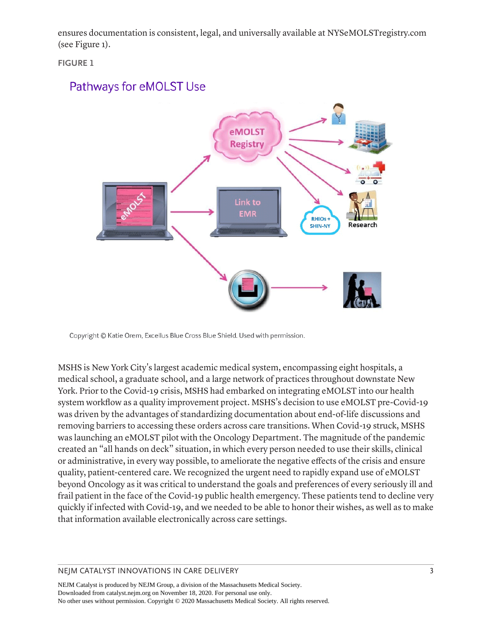ensures documentation is consistent, legal, and universally available at NYSeMOLSTregistry.com (see Figure 1).

**FIGURE 1**

# **Pathways for eMOLST Use**



Copyright © Katie Orem, Excellus Blue Cross Blue Shield. Used with permission.

MSHS is New York City's largest academic medical system, encompassing eight hospitals, a medical school, a graduate school, and a large network of practices throughout downstate New York. Prior to the Covid-19 crisis, MSHS had embarked on integrating eMOLST into our health system workflow as a quality improvement project. MSHS's decision to use eMOLST pre-Covid-19 was driven by the advantages of standardizing documentation about end-of-life discussions and removing barriers to accessing these orders across care transitions. When Covid-19 struck, MSHS was launching an eMOLST pilot with the Oncology Department. The magnitude of the pandemic created an "all hands on deck" situation, in which every person needed to use their skills, clinical or administrative, in every way possible, to ameliorate the negative effects of the crisis and ensure quality, patient-centered care. We recognized the urgent need to rapidly expand use of eMOLST beyond Oncology as it was critical to understand the goals and preferences of every seriously ill and frail patient in the face of the Covid-19 public health emergency. These patients tend to decline very quickly if infected with Covid-19, and we needed to be able to honor their wishes, as well as to make that information available electronically across care settings.

#### NEJM CATALYST INNOVATIONS IN CARE DELIVERY **3** 3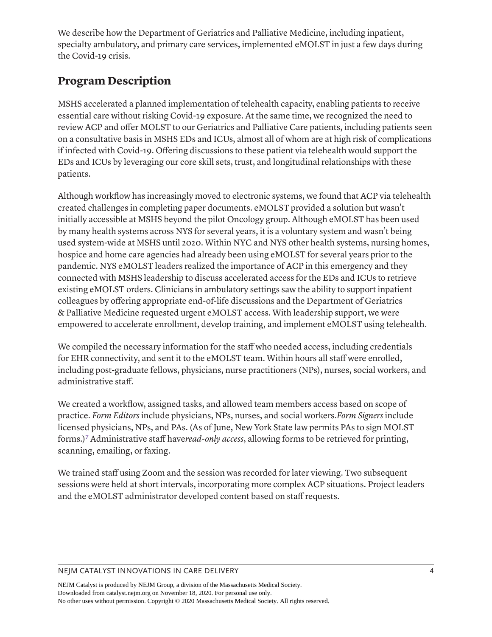We describe how the Department of Geriatrics and Palliative Medicine, including inpatient, specialty ambulatory, and primary care services, implemented eMOLST in just a few days during the Covid-19 crisis.

# **Program Description**

MSHS accelerated a planned implementation of telehealth capacity, enabling patients to receive essential care without risking Covid-19 exposure. At the same time, we recognized the need to review ACP and offer MOLST to our Geriatrics and Palliative Care patients, including patients seen on a consultative basis in MSHS EDs and ICUs, almost all of whom are at high risk of complications if infected with Covid-19. Offering discussions to these patient via telehealth would support the EDs and ICUs by leveraging our core skill sets, trust, and longitudinal relationships with these patients.

Although workflow has increasingly moved to electronic systems, we found that ACP via telehealth created challenges in completing paper documents. eMOLST provided a solution but wasn't initially accessible at MSHS beyond the pilot Oncology group. Although eMOLST has been used by many health systems across NYS for several years, it is a voluntary system and wasn't being used system-wide at MSHS until 2020. Within NYC and NYS other health systems, nursing homes, hospice and home care agencies had already been using eMOLST for several years prior to the pandemic. NYS eMOLST leaders realized the importance of ACP in this emergency and they connected with MSHS leadership to discuss accelerated access for the EDs and ICUs to retrieve existing eMOLST orders. Clinicians in ambulatory settings saw the ability to support inpatient colleagues by offering appropriate end-of-life discussions and the Department of Geriatrics & Palliative Medicine requested urgent eMOLST access. With leadership support, we were empowered to accelerate enrollment, develop training, and implement eMOLST using telehealth.

We compiled the necessary information for the staff who needed access, including credentials for EHR connectivity, and sent it to the eMOLST team. Within hours all staff were enrolled, including post-graduate fellows, physicians, nurse practitioners (NPs), nurses, social workers, and administrative staff.

<span id="page-3-0"></span>We created a workflow, assigned tasks, and allowed team members access based on scope of practice. *Form Editors* include physicians, NPs, nurses, and social workers.*Form Signers* include licensed physicians, NPs, and PAs. (As of June, New York State law permits PAs to sign MOLST forms.[\)7](#page-9-6) Administrative staff have*read-only access*, allowing forms to be retrieved for printing, scanning, emailing, or faxing.

We trained staff using Zoom and the session was recorded for later viewing. Two subsequent sessions were held at short intervals, incorporating more complex ACP situations. Project leaders and the eMOLST administrator developed content based on staff requests.

#### NEJM CATALYST INNOVATIONS IN CARE DELIVERY 4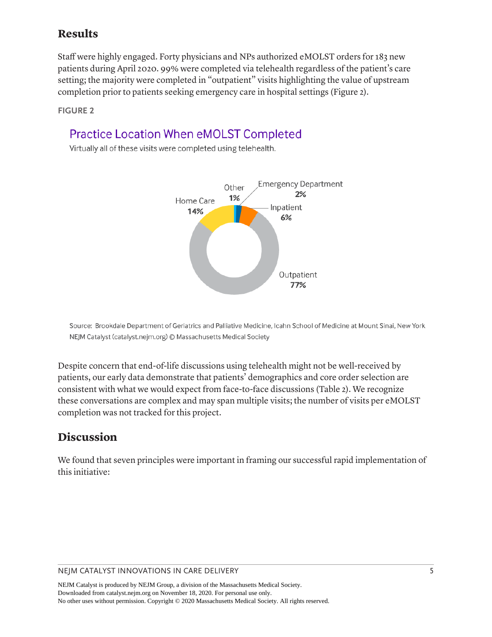### **Results**

Staff were highly engaged. Forty physicians and NPs authorized eMOLST orders for 183 new patients during April 2020. 99% were completed via telehealth regardless of the patient's care setting; the majority were completed in "outpatient" visits highlighting the value of upstream completion prior to patients seeking emergency care in hospital settings (Figure 2).

**FIGURE 2**

# **Practice Location When eMOLST Completed**

Virtually all of these visits were completed using telehealth.



Source: Brookdale Department of Geriatrics and Palliative Medicine, Icahn School of Medicine at Mount Sinai, New York NEJM Catalyst (catalyst.nejm.org) © Massachusetts Medical Society

Despite concern that end-of-life discussions using telehealth might not be well-received by patients, our early data demonstrate that patients' demographics and core order selection are consistent with what we would expect from face-to-face discussions (Table 2). We recognize these conversations are complex and may span multiple visits; the number of visits per eMOLST completion was not tracked for this project.

# **Discussion**

We found that seven principles were important in framing our successful rapid implementation of this initiative:

#### NEJM CATALYST INNOVATIONS IN CARE DELIVERY 5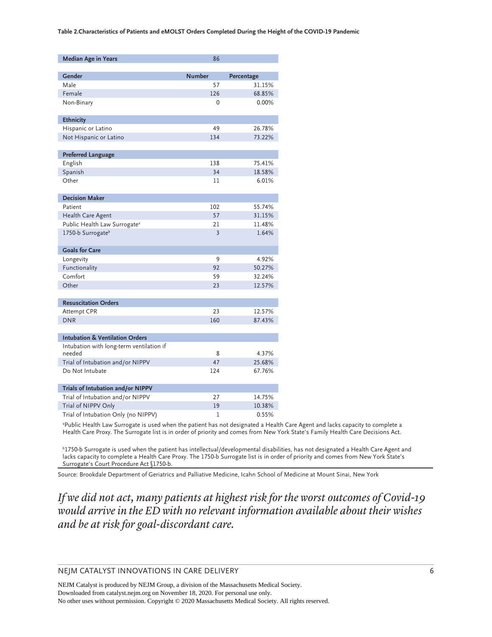| <b>Median Age in Years</b>                 | 86            |            |
|--------------------------------------------|---------------|------------|
|                                            |               |            |
| Gender                                     | <b>Number</b> | Percentage |
| Male                                       | 57            | 31.15%     |
| Female                                     | 126           | 68.85%     |
| Non-Binary                                 | $\Omega$      | 0.00%      |
| <b>Ethnicity</b>                           |               |            |
| Hispanic or Latino                         | 49            | 26.78%     |
| Not Hispanic or Latino                     | 134           | 73.22%     |
| <b>Preferred Language</b>                  |               |            |
|                                            | 138           | 75.41%     |
| English<br>Spanish                         | 34            | 18.58%     |
| Other                                      | 11            |            |
|                                            |               | 6.01%      |
| <b>Decision Maker</b>                      |               |            |
| Patient                                    | 102           | 55.74%     |
| Health Care Agent                          | 57            | 31.15%     |
| Public Health Law Surrogate <sup>a</sup>   | 21            | 11.48%     |
| 1750-b Surrogateb                          | 3             | 1.64%      |
| <b>Goals for Care</b>                      |               |            |
| Longevity                                  | 9             | 4.92%      |
| Functionality                              | 92            | 50.27%     |
| Comfort                                    | 59            | 32.24%     |
| Other                                      | 23            | 12.57%     |
| <b>Resuscitation Orders</b>                |               |            |
| Attempt CPR                                | 23            | 12.57%     |
| <b>DNR</b>                                 | 160           | 87.43%     |
|                                            |               |            |
| <b>Intubation &amp; Ventilation Orders</b> |               |            |
| Intubation with long-term ventilation if   |               |            |
| needed                                     | 8             | 4.37%      |
| Trial of Intubation and/or NIPPV           | 47            | 25.68%     |
| Do Not Intubate                            | 124           | 67.76%     |
| Trials of Intubation and/or NIPPV          |               |            |
| Trial of Intubation and/or NIPPV           | 27            | 14.75%     |
| Trial of NIPPV Only                        | 19            | 10.38%     |
| Trial of Intubation Only (no NIPPV)        | 1             | 0.55%      |

a Public Health Law Surrogate is used when the patient has not designated a Health Care Agent and lacks capacity to complete a Health Care Proxy. The Surrogate list is in order of priority and comes from New York State's Family Health Care Decisions Act.

b 1750-b Surrogate is used when the patient has intellectual/developmental disabilities, has not designated a Health Care Agent and lacks capacity to complete a Health Care Proxy. The 1750-b Surrogate list is in order of priority and comes from New York State's Surrogate's Court Procedure Act §1750-b.

Source: Brookdale Department of Geriatrics and Palliative Medicine, Icahn School of Medicine at Mount Sinai, New York

*If we did not act, many patients at highest risk for the worst outcomes of Covid-19 would arrive in the ED with no relevant information available about their wishes and be at risk for goal-discordant care.*

NEJM CATALYST INNOVATIONS IN CARE DELIVERY 6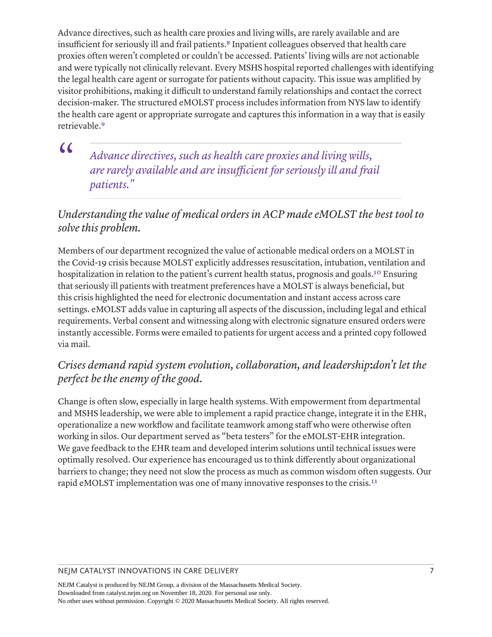<span id="page-6-0"></span>Advance directives, such as health care proxies and living wills, are rarely available and are insufficient for seriously ill and frail patients.<sup>8</sup> Inpatient colleagues observed that health care proxies often weren't completed or couldn't be accessed. Patients' living wills are not actionable and were typically not clinically relevant. Every MSHS hospital reported challenges with identifying the legal health care agent or surrogate for patients without capacity. This issue was amplified by visitor prohibitions, making it difficult to understand family relationships and contact the correct decision-maker. The structured eMOLST process includes information from NYS law to identify the health care agent or appropriate surrogate and captures this information in a way that is easily retrievable.[9](#page-9-8)

<span id="page-6-1"></span> $\alpha$ 

*Advance directives, such as health care proxies and living wills, are rarely available and are insufficient for seriously ill and frail patients."*

### *Understanding the value of medical orders in ACP made eMOLST the best tool to solve this problem.*

<span id="page-6-2"></span>Members of our department recognized the value of actionable medical orders on a MOLST in the Covid-19 crisis because MOLST explicitly addresses resuscitation, intubation, ventilation and hospitalization in relation to the patient's current health status, prognosis and goals.<sup>10</sup> Ensuring that seriously ill patients with treatment preferences have a MOLST is always beneficial, but this crisis highlighted the need for electronic documentation and instant access across care settings. eMOLST adds value in capturing all aspects of the discussion, including legal and ethical requirements. Verbal consent and witnessing along with electronic signature ensured orders were instantly accessible. Forms were emailed to patients for urgent access and a printed copy followed via mail.

### *Crises demand rapid system evolution, collaboration, and leadership***:***don't let the perfect be the enemy of the good.*

<span id="page-6-3"></span>Change is often slow, especially in large health systems. With empowerment from departmental and MSHS leadership, we were able to implement a rapid practice change, integrate it in the EHR, operationalize a new workflow and facilitate teamwork among staff who were otherwise often working in silos. Our department served as "beta testers" for the eMOLST-EHR integration. We gave feedback to the EHR team and developed interim solutions until technical issues were optimally resolved. Our experience has encouraged us to think differently about organizational barriers to change; they need not slow the process as much as common wisdom often suggests. Our rapid eMOLST implementation was one of many innovative responses to the crisis.<sup>[11](#page-9-10)</sup>

#### NEJM CATALYST INNOVATIONS IN CARE DELIVERY **7** 7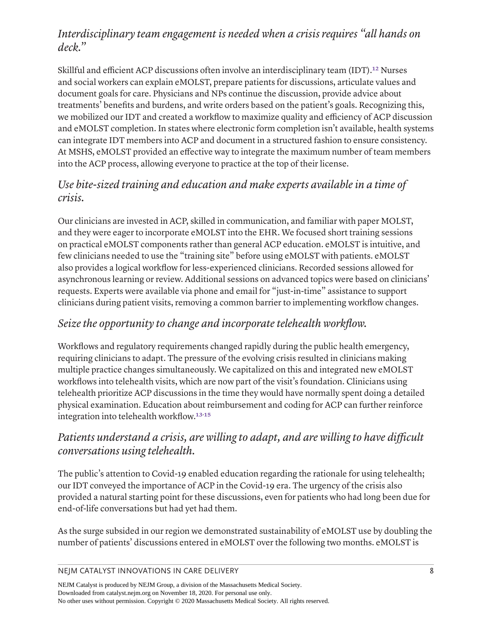### *Interdisciplinary team engagement is needed when a crisis requires "all hands on deck."*

<span id="page-7-0"></span>Skillful and efficient ACP discussions often involve an interdisciplinary team (IDT).<sup>12</sup> Nurses and social workers can explain eMOLST, prepare patients for discussions, articulate values and document goals for care. Physicians and NPs continue the discussion, provide advice about treatments' benefits and burdens, and write orders based on the patient's goals. Recognizing this, we mobilized our IDT and created a workflow to maximize quality and efficiency of ACP discussion and eMOLST completion. In states where electronic form completion isn't available, health systems can integrate IDT members into ACP and document in a structured fashion to ensure consistency. At MSHS, eMOLST provided an effective way to integrate the maximum number of team members into the ACP process, allowing everyone to practice at the top of their license.

### *Use bite-sized training and education and make experts available in a time of crisis.*

Our clinicians are invested in ACP, skilled in communication, and familiar with paper MOLST, and they were eager to incorporate eMOLST into the EHR. We focused short training sessions on practical eMOLST components rather than general ACP education. eMOLST is intuitive, and few clinicians needed to use the "training site" before using eMOLST with patients. eMOLST also provides a logical workflow for less-experienced clinicians. Recorded sessions allowed for asynchronous learning or review. Additional sessions on advanced topics were based on clinicians' requests. Experts were available via phone and email for "just-in-time" assistance to support clinicians during patient visits, removing a common barrier to implementing workflow changes.

### *Seize the opportunity to change and incorporate telehealth workflow.*

Workflows and regulatory requirements changed rapidly during the public health emergency, requiring clinicians to adapt. The pressure of the evolving crisis resulted in clinicians making multiple practice changes simultaneously. We capitalized on this and integrated new eMOLST workflows into telehealth visits, which are now part of the visit's foundation. Clinicians using telehealth prioritize ACP discussions in the time they would have normally spent doing a detailed physical examination. Education about reimbursement and coding for ACP can further reinforce integration into telehealth workflow.[13](#page-10-1)- [15](#page-10-2)

### <span id="page-7-2"></span><span id="page-7-1"></span>*Patients understand a crisis, are willing to adapt, and are willing to have difficult conversations using telehealth.*

The public's attention to Covid-19 enabled education regarding the rationale for using telehealth; our IDT conveyed the importance of ACP in the Covid-19 era. The urgency of the crisis also provided a natural starting point for these discussions, even for patients who had long been due for end-of-life conversations but had yet had them.

As the surge subsided in our region we demonstrated sustainability of eMOLST use by doubling the number of patients' discussions entered in eMOLST over the following two months. eMOLST is

NEJM CATALYST INNOVATIONS IN CARE DELIVERY 8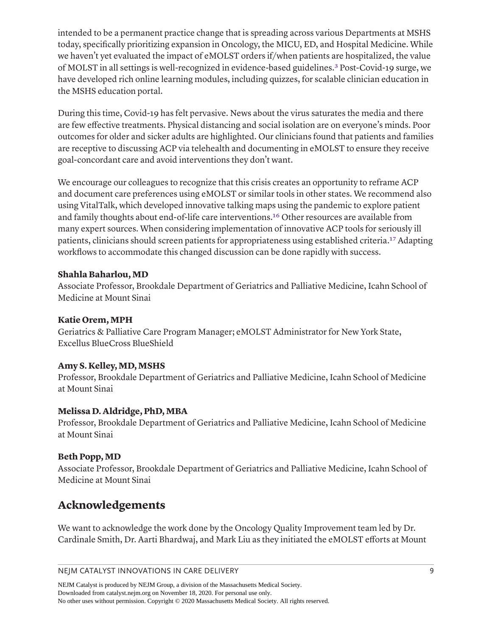<span id="page-8-0"></span>intended to be a permanent practice change that is spreading across various Departments at MSHS today, specifically prioritizing expansion in Oncology, the MICU, ED, and Hospital Medicine. While we haven't yet evaluated the impact of eMOLST orders if/when patients are hospitalized, the value of MOLST in all settings is well-recognized in evidence-based guidelines[.3](#page-9-2) Post-Covid-19 surge, we have developed rich online learning modules, including quizzes, for scalable clinician education in the MSHS education portal.

During this time, Covid-19 has felt pervasive. News about the virus saturates the media and there are few effective treatments. Physical distancing and social isolation are on everyone's minds. Poor outcomes for older and sicker adults are highlighted. Our clinicians found that patients and families are receptive to discussing ACP via telehealth and documenting in eMOLST to ensure they receive goal-concordant care and avoid interventions they don't want.

<span id="page-8-1"></span>We encourage our colleagues to recognize that this crisis creates an opportunity to reframe ACP and document care preferences using eMOLST or similar tools in other states. We recommend also using VitalTalk, which developed innovative talking maps using the pandemic to explore patient and family thoughts about end-of-life care interventions[.16](#page-10-3) Other resources are available from many expert sources. When considering implementation of innovative ACP tools for seriously ill patients, clinicians should screen patients for appropriateness using established criteria.[17](#page-10-4) Adapting workflows to accommodate this changed discussion can be done rapidly with success.

#### <span id="page-8-2"></span>**Shahla Baharlou, MD**

Associate Professor, Brookdale Department of Geriatrics and Palliative Medicine, Icahn School of Medicine at Mount Sinai

#### **Katie Orem, MPH**

Geriatrics & Palliative Care Program Manager; eMOLST Administrator for New York State, Excellus BlueCross BlueShield

#### **Amy S. Kelley, MD, MSHS**

Professor, Brookdale Department of Geriatrics and Palliative Medicine, Icahn School of Medicine at Mount Sinai

#### **Melissa D. Aldridge, PhD, MBA**

Professor, Brookdale Department of Geriatrics and Palliative Medicine, Icahn School of Medicine at Mount Sinai

#### **Beth Popp, MD**

Associate Professor, Brookdale Department of Geriatrics and Palliative Medicine, Icahn School of Medicine at Mount Sinai

# **Acknowledgements**

We want to acknowledge the work done by the Oncology Quality Improvement team led by Dr. Cardinale Smith, Dr. Aarti Bhardwaj, and Mark Liu as they initiated the eMOLST efforts at Mount

NEJM CATALYST INNOVATIONS IN CARE DELIVERY 9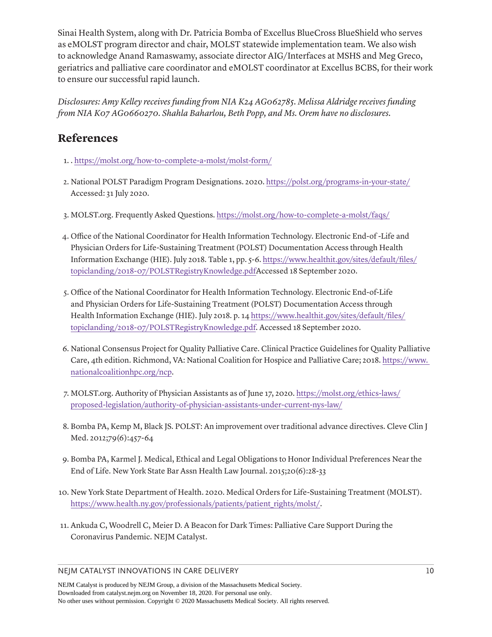Sinai Health System, along with Dr. Patricia Bomba of Excellus BlueCross BlueShield who serves as eMOLST program director and chair, MOLST statewide implementation team. We also wish to acknowledge Anand Ramaswamy, associate director AIG/Interfaces at MSHS and Meg Greco, geriatrics and palliative care coordinator and eMOLST coordinator at Excellus BCBS, for their work to ensure our successful rapid launch.

*Disclosures: Amy Kelley receives funding from NIA K24 AG062785. Melissa Aldridge receives funding from NIA K07 AG0660270. Shahla Baharlou, Beth Popp, and Ms. Orem have no disclosures.*

### **References**

- <span id="page-9-0"></span>[1.](#page-1-0) . <https://molst.org/how-to-complete-a-molst/molst-form/>
- <span id="page-9-1"></span>[2.](#page-1-1) National POLST Paradigm Program Designations. 2020.<https://polst.org/programs-in-your-state/> Accessed: 31 July 2020.
- <span id="page-9-2"></span>[3.](#page-8-0) MOLST.org. Frequently Asked Questions. <https://molst.org/how-to-complete-a-molst/faqs/>
- <span id="page-9-3"></span>[4.](#page-1-2) Office of the National Coordinator for Health Information Technology. Electronic End-of -Life and Physician Orders for Life-Sustaining Treatment (POLST) Documentation Access through Health Information Exchange (HIE). July 2018. Table 1, pp. 5-6. [https://www.healthit.gov/sites/default/files/](https://www.healthit.gov/sites/default/files/topiclanding/2018-07/POLSTRegistryKnowledge.pdf) [topiclanding/2018-07/POLSTRegistryKnowledge.pdfA](https://www.healthit.gov/sites/default/files/topiclanding/2018-07/POLSTRegistryKnowledge.pdf)ccessed 18 September 2020.
- <span id="page-9-4"></span>[5.](#page-1-3) Office of the National Coordinator for Health Information Technology. Electronic End-of-Life and Physician Orders for Life-Sustaining Treatment (POLST) Documentation Access through Health Information Exchange (HIE). July 2018. p. 14 [https://www.healthit.gov/sites/default/files/](https://www.healthit.gov/sites/default/files/topiclanding/2018-07/POLSTRegistryKnowledge.pdf) [topiclanding/2018-07/POLSTRegistryKnowledge.pdf](https://www.healthit.gov/sites/default/files/topiclanding/2018-07/POLSTRegistryKnowledge.pdf). Accessed 18 September 2020.
- <span id="page-9-5"></span>[6.](#page-1-4) National Consensus Project for Quality Palliative Care. Clinical Practice Guidelines for Quality Palliative Care, 4th edition. Richmond, VA: National Coalition for Hospice and Palliative Care; 2018. [https://www.](https://www.nationalcoalitionhpc.org/ncp)  [nationalcoalitionhpc.org/ncp.](https://www.nationalcoalitionhpc.org/ncp)
- <span id="page-9-6"></span>[7.](#page-3-0) MOLST.org. Authority of Physician Assistants as of June 17, 2020. [https://molst.org/ethics-laws/](https://molst.org/ethics-laws/proposed-legislation/authority-of-physician-assistants-under-current-nys-law/) [proposed-legislation/authority-of-physician-assistants-under-current-nys-law/](https://molst.org/ethics-laws/proposed-legislation/authority-of-physician-assistants-under-current-nys-law/)
- <span id="page-9-7"></span>[8.](#page-6-0) Bomba PA, Kemp M, Black JS. POLST: An improvement over traditional advance directives. Cleve Clin J Med. 2012;79(6):457-64
- <span id="page-9-8"></span>[9.](#page-6-1) Bomba PA, Karmel J. Medical, Ethical and Legal Obligations to Honor Individual Preferences Near the End of Life. New York State Bar Assn Health Law Journal. 2015;20(6):28-33
- <span id="page-9-9"></span>[10.](#page-6-2) New York State Department of Health. 2020. Medical Orders for Life-Sustaining Treatment (MOLST). [https://www.health.ny.gov/professionals/patients/patient\\_rights/molst/](https://www.health.ny.gov/professionals/patients/patient_rights/molst/).
- <span id="page-9-10"></span>[11.](#page-6-3) Ankuda C, Woodrell C, Meier D. A Beacon for Dark Times: Palliative Care Support During the Coronavirus Pandemic. NEJM Catalyst.

#### NEJM CATALYST INNOVATIONS IN CARE DELIVERY 10 10 10